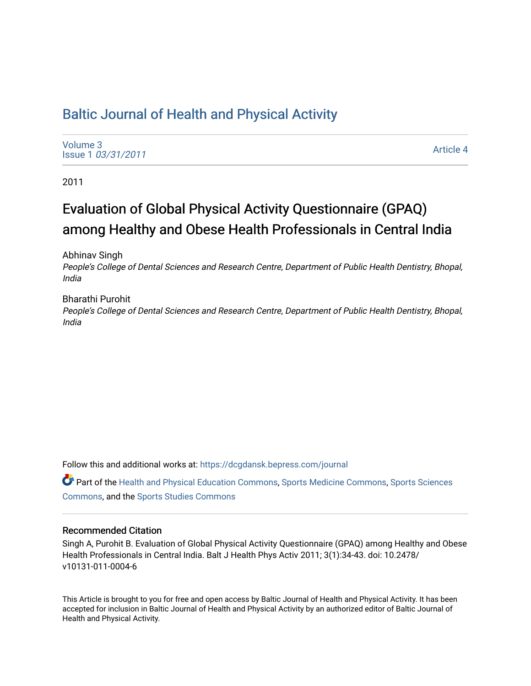# [Baltic Journal of Health and Physical Activity](https://dcgdansk.bepress.com/journal)

[Volume 3](https://dcgdansk.bepress.com/journal/vol3) Issue 1 [03/31/2011](https://dcgdansk.bepress.com/journal/vol3/iss1)

[Article 4](https://dcgdansk.bepress.com/journal/vol3/iss1/4) 

2011

# Evaluation of Global Physical Activity Questionnaire (GPAQ) among Healthy and Obese Health Professionals in Central India

Abhinav Singh

People's College of Dental Sciences and Research Centre, Department of Public Health Dentistry, Bhopal, India

Bharathi Purohit People's College of Dental Sciences and Research Centre, Department of Public Health Dentistry, Bhopal, India

Follow this and additional works at: [https://dcgdansk.bepress.com/journal](https://dcgdansk.bepress.com/journal?utm_source=dcgdansk.bepress.com%2Fjournal%2Fvol3%2Fiss1%2F4&utm_medium=PDF&utm_campaign=PDFCoverPages)

Part of the [Health and Physical Education Commons](http://network.bepress.com/hgg/discipline/1327?utm_source=dcgdansk.bepress.com%2Fjournal%2Fvol3%2Fiss1%2F4&utm_medium=PDF&utm_campaign=PDFCoverPages), [Sports Medicine Commons,](http://network.bepress.com/hgg/discipline/1331?utm_source=dcgdansk.bepress.com%2Fjournal%2Fvol3%2Fiss1%2F4&utm_medium=PDF&utm_campaign=PDFCoverPages) [Sports Sciences](http://network.bepress.com/hgg/discipline/759?utm_source=dcgdansk.bepress.com%2Fjournal%2Fvol3%2Fiss1%2F4&utm_medium=PDF&utm_campaign=PDFCoverPages) [Commons](http://network.bepress.com/hgg/discipline/759?utm_source=dcgdansk.bepress.com%2Fjournal%2Fvol3%2Fiss1%2F4&utm_medium=PDF&utm_campaign=PDFCoverPages), and the [Sports Studies Commons](http://network.bepress.com/hgg/discipline/1198?utm_source=dcgdansk.bepress.com%2Fjournal%2Fvol3%2Fiss1%2F4&utm_medium=PDF&utm_campaign=PDFCoverPages) 

#### Recommended Citation

Singh A, Purohit B. Evaluation of Global Physical Activity Questionnaire (GPAQ) among Healthy and Obese Health Professionals in Central India. Balt J Health Phys Activ 2011; 3(1):34-43. doi: 10.2478/ v10131-011-0004-6

This Article is brought to you for free and open access by Baltic Journal of Health and Physical Activity. It has been accepted for inclusion in Baltic Journal of Health and Physical Activity by an authorized editor of Baltic Journal of Health and Physical Activity.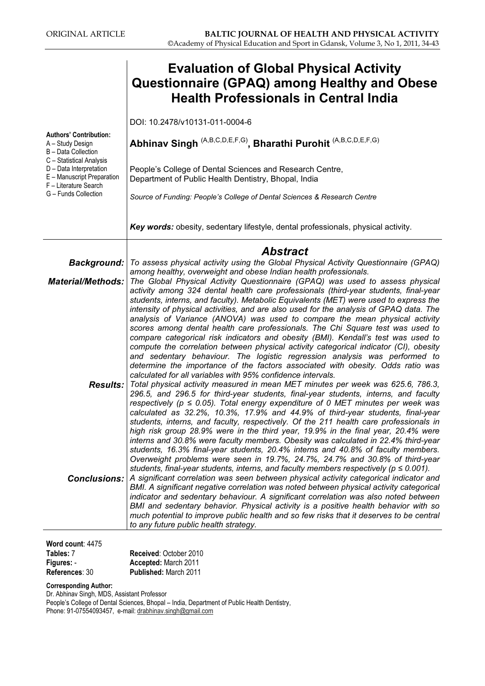|                                                                                                            | <b>Evaluation of Global Physical Activity</b><br><b>Questionnaire (GPAQ) among Healthy and Obese</b><br><b>Health Professionals in Central India</b>                                                                                                                                                                                                                                                                                                                                                                                                                                                                                                                                                                                                                                                                                                                                                                                    |
|------------------------------------------------------------------------------------------------------------|-----------------------------------------------------------------------------------------------------------------------------------------------------------------------------------------------------------------------------------------------------------------------------------------------------------------------------------------------------------------------------------------------------------------------------------------------------------------------------------------------------------------------------------------------------------------------------------------------------------------------------------------------------------------------------------------------------------------------------------------------------------------------------------------------------------------------------------------------------------------------------------------------------------------------------------------|
|                                                                                                            | DOI: 10.2478/v10131-011-0004-6                                                                                                                                                                                                                                                                                                                                                                                                                                                                                                                                                                                                                                                                                                                                                                                                                                                                                                          |
| <b>Authors' Contribution:</b><br>A - Study Design<br>B - Data Collection                                   | Abhinav Singh (A,B,C,D,E,F,G), Bharathi Purohit (A,B,C,D,E,F,G)                                                                                                                                                                                                                                                                                                                                                                                                                                                                                                                                                                                                                                                                                                                                                                                                                                                                         |
| C - Statistical Analysis<br>D - Data Interpretation<br>E - Manuscript Preparation<br>F - Literature Search | People's College of Dental Sciences and Research Centre,<br>Department of Public Health Dentistry, Bhopal, India                                                                                                                                                                                                                                                                                                                                                                                                                                                                                                                                                                                                                                                                                                                                                                                                                        |
| G - Funds Collection                                                                                       | Source of Funding: People's College of Dental Sciences & Research Centre                                                                                                                                                                                                                                                                                                                                                                                                                                                                                                                                                                                                                                                                                                                                                                                                                                                                |
|                                                                                                            | Key words: obesity, sedentary lifestyle, dental professionals, physical activity.                                                                                                                                                                                                                                                                                                                                                                                                                                                                                                                                                                                                                                                                                                                                                                                                                                                       |
|                                                                                                            | <b>Abstract</b>                                                                                                                                                                                                                                                                                                                                                                                                                                                                                                                                                                                                                                                                                                                                                                                                                                                                                                                         |
|                                                                                                            | Background:   To assess physical activity using the Global Physical Activity Questionnaire (GPAQ)<br>among healthy, overweight and obese Indian health professionals.                                                                                                                                                                                                                                                                                                                                                                                                                                                                                                                                                                                                                                                                                                                                                                   |
| <b>Material/Methods:</b>                                                                                   | The Global Physical Activity Questionnaire (GPAQ) was used to assess physical<br>activity among 324 dental health care professionals (third-year students, final-year<br>students, interns, and faculty). Metabolic Equivalents (MET) were used to express the<br>intensity of physical activities, and are also used for the analysis of GPAQ data. The<br>analysis of Variance (ANOVA) was used to compare the mean physical activity<br>scores among dental health care professionals. The Chi Square test was used to<br>compare categorical risk indicators and obesity (BMI). Kendall's test was used to<br>compute the correlation between physical activity categorical indicator (CI), obesity<br>and sedentary behaviour. The logistic regression analysis was performed to<br>determine the importance of the factors associated with obesity. Odds ratio was<br>calculated for all variables with 95% confidence intervals. |
|                                                                                                            | <b>Results:</b> Total physical activity measured in mean MET minutes per week was 625.6, 786.3,<br>296.5, and 296.5 for third-year students, final-year students, interns, and faculty<br>respectively ( $p \le 0.05$ ). Total energy expenditure of 0 MET minutes per week was<br>calculated as 32.2%, 10.3%, 17.9% and 44.9% of third-year students, final-year<br>students, interns, and faculty, respectively. Of the 211 health care professionals in<br>high risk group 28.9% were in the third year, 19.9% in the final year, 20.4% were<br>interns and 30.8% were faculty members. Obesity was calculated in 22.4% third-year<br>students, 16.3% final-year students, 20.4% interns and 40.8% of faculty members.<br>Overweight problems were seen in 19.7%, 24.7%, 24.7% and 30.8% of third-year<br>students, final-year students, interns, and faculty members respectively ( $p \le 0.001$ ).                                |
| <b>Conclusions:</b>                                                                                        | A significant correlation was seen between physical activity categorical indicator and<br>BMI. A significant negative correlation was noted between physical activity categorical<br>indicator and sedentary behaviour. A significant correlation was also noted between<br>BMI and sedentary behavior. Physical activity is a positive health behavior with so<br>much potential to improve public health and so few risks that it deserves to be central<br>to any future public health strategy.                                                                                                                                                                                                                                                                                                                                                                                                                                     |

Word count: 4475 Tables: 7 Figures: - References: 30

Received: October 2010 Accepted: March 2011 Published: March 2011

Corresponding Author:

Dr. Abhinav Singh, MDS, Assistant Professor

People's College of Dental Sciences, Bhopal – India, Department of Public Health Dentistry, Phone: 91-07554093457, e-mail: <u>drabhinav.singh@gmail.com</u>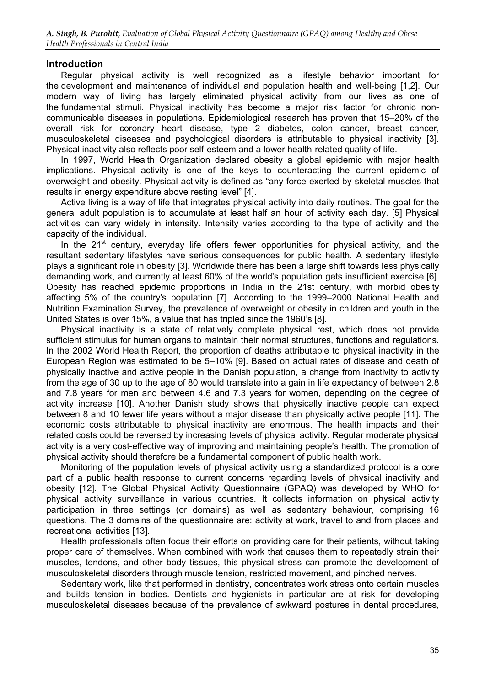# **Introduction**

Regular physical activity is well recognized as a lifestyle behavior important for the development and maintenance of individual and population health and well-being [1,2]. Our modern way of living has largely eliminated physical activity from our lives as one of the fundamental stimuli. Physical inactivity has become a major risk factor for chronic noncommunicable diseases in populations. Epidemiological research has proven that 15–20% of the overall risk for coronary heart disease, type 2 diabetes, colon cancer, breast cancer, musculoskeletal diseases and psychological disorders is attributable to physical inactivity [3]. Physical inactivity also reflects poor self-esteem and a lower health-related quality of life.

In 1997, World Health Organization declared obesity a global epidemic with major health implications. Physical activity is one of the keys to counteracting the current epidemic of overweight and obesity. Physical activity is defined as "any force exerted by skeletal muscles that results in energy expenditure above resting level" [4].

Active living is a way of life that integrates physical activity into daily routines. The goal for the general adult population is to accumulate at least half an hour of activity each day. [5] Physical activities can vary widely in intensity. Intensity varies according to the type of activity and the capacity of the individual.

In the  $21^{st}$  century, everyday life offers fewer opportunities for physical activity, and the resultant sedentary lifestyles have serious consequences for public health. A sedentary lifestyle plays a significant role in obesity [3]. Worldwide there has been a large shift towards less physically demanding work, and currently at least 60% of the world's population gets insufficient exercise [6]. Obesity has reached epidemic proportions in India in the 21st century, with morbid obesity affecting 5% of the country's population [7]. According to the 1999–2000 National Health and Nutrition Examination Survey, the prevalence of overweight or obesity in children and youth in the United States is over 15%, a value that has tripled since the 1960's [8].

Physical inactivity is a state of relatively complete physical rest, which does not provide sufficient stimulus for human organs to maintain their normal structures, functions and regulations. In the 2002 World Health Report, the proportion of deaths attributable to physical inactivity in the European Region was estimated to be 5–10% [9]. Based on actual rates of disease and death of physically inactive and active people in the Danish population, a change from inactivity to activity from the age of 30 up to the age of 80 would translate into a gain in life expectancy of between 2.8 and 7.8 years for men and between 4.6 and 7.3 years for women, depending on the degree of activity increase [10]. Another Danish study shows that physically inactive people can expect between 8 and 10 fewer life years without a major disease than physically active people [11]. The economic costs attributable to physical inactivity are enormous. The health impacts and their related costs could be reversed by increasing levels of physical activity. Regular moderate physical activity is a very cost-effective way of improving and maintaining people's health. The promotion of physical activity should therefore be a fundamental component of public health work.

Monitoring of the population levels of physical activity using a standardized protocol is a core part of a public health response to current concerns regarding levels of physical inactivity and obesity [12]. The Global Physical Activity Questionnaire (GPAQ) was developed by WHO for physical activity surveillance in various countries. It collects information on physical activity participation in three settings (or domains) as well as sedentary behaviour, comprising 16 questions. The 3 domains of the questionnaire are: activity at work, travel to and from places and recreational activities [13].

Health professionals often focus their efforts on providing care for their patients, without taking proper care of themselves. When combined with work that causes them to repeatedly strain their muscles, tendons, and other body tissues, this physical stress can promote the development of musculoskeletal disorders through muscle tension, restricted movement, and pinched nerves.

Sedentary work, like that performed in dentistry, concentrates work stress onto certain muscles and builds tension in bodies. Dentists and hygienists in particular are at risk for developing musculoskeletal diseases because of the prevalence of awkward postures in dental procedures,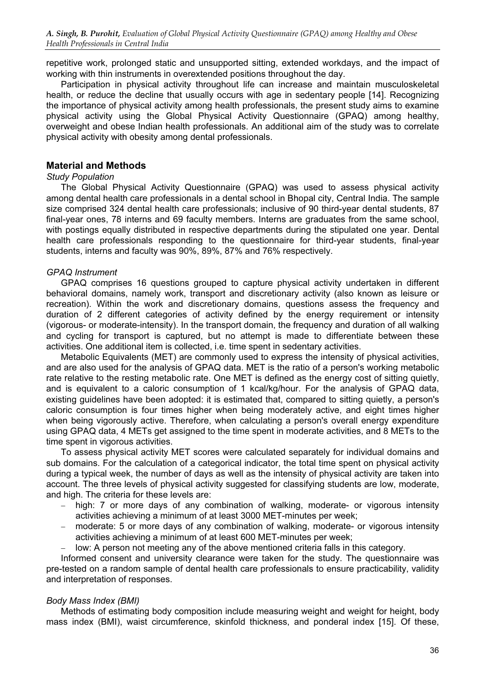repetitive work, prolonged static and unsupported sitting, extended workdays, and the impact of working with thin instruments in overextended positions throughout the day.

Participation in physical activity throughout life can increase and maintain musculoskeletal health, or reduce the decline that usually occurs with age in sedentary people [14]. Recognizing the importance of physical activity among health professionals, the present study aims to examine physical activity using the Global Physical Activity Questionnaire (GPAQ) among healthy, overweight and obese Indian health professionals. An additional aim of the study was to correlate physical activity with obesity among dental professionals.

# Material and Methods

#### Study Population

The Global Physical Activity Questionnaire (GPAQ) was used to assess physical activity among dental health care professionals in a dental school in Bhopal city, Central India. The sample size comprised 324 dental health care professionals; inclusive of 90 third-year dental students, 87 final-year ones, 78 interns and 69 faculty members. Interns are graduates from the same school, with postings equally distributed in respective departments during the stipulated one year. Dental health care professionals responding to the questionnaire for third-year students, final-year students, interns and faculty was 90%, 89%, 87% and 76% respectively.

# GPAQ Instrument

GPAQ comprises 16 questions grouped to capture physical activity undertaken in different behavioral domains, namely work, transport and discretionary activity (also known as leisure or recreation). Within the work and discretionary domains, questions assess the frequency and duration of 2 different categories of activity defined by the energy requirement or intensity (vigorous- or moderate-intensity). In the transport domain, the frequency and duration of all walking and cycling for transport is captured, but no attempt is made to differentiate between these activities. One additional item is collected, i.e. time spent in sedentary activities.

Metabolic Equivalents (MET) are commonly used to express the intensity of physical activities, and are also used for the analysis of GPAQ data. MET is the ratio of a person's working metabolic rate relative to the resting metabolic rate. One MET is defined as the energy cost of sitting quietly, and is equivalent to a caloric consumption of 1 kcal/kg/hour. For the analysis of GPAQ data, existing guidelines have been adopted: it is estimated that, compared to sitting quietly, a person's caloric consumption is four times higher when being moderately active, and eight times higher when being vigorously active. Therefore, when calculating a person's overall energy expenditure using GPAQ data, 4 METs get assigned to the time spent in moderate activities, and 8 METs to the time spent in vigorous activities.

To assess physical activity MET scores were calculated separately for individual domains and sub domains. For the calculation of a categorical indicator, the total time spent on physical activity during a typical week, the number of days as well as the intensity of physical activity are taken into account. The three levels of physical activity suggested for classifying students are low, moderate, and high. The criteria for these levels are:

- − high: 7 or more days of any combination of walking, moderate- or vigorous intensity activities achieving a minimum of at least 3000 MET-minutes per week;
- − moderate: 5 or more days of any combination of walking, moderate- or vigorous intensity activities achieving a minimum of at least 600 MET-minutes per week;
- low: A person not meeting any of the above mentioned criteria falls in this category.

Informed consent and university clearance were taken for the study. The questionnaire was pre-tested on a random sample of dental health care professionals to ensure practicability, validity and interpretation of responses.

#### Body Mass Index (BMI)

Methods of estimating body composition include measuring weight and weight for height, body mass index (BMI), waist circumference, skinfold thickness, and ponderal index [15]. Of these,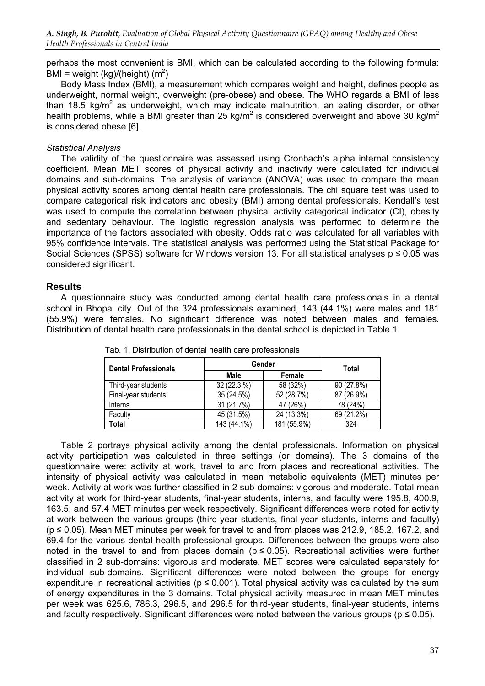perhaps the most convenient is BMI, which can be calculated according to the following formula: .<br>BMI = weight (kg)/(height) (m<sup>2</sup>)

Body Mass Index (BMI), a measurement which compares weight and height, defines people as underweight, normal weight, overweight (pre-obese) and obese. The WHO regards a BMI of less than 18.5 kg/m<sup>2</sup> as underweight, which may indicate malnutrition, an eating disorder, or other health problems, while a BMI greater than 25 kg/m<sup>2</sup> is considered overweight and above 30 kg/m<sup>2</sup> is considered obese [6].

#### Statistical Analysis

The validity of the questionnaire was assessed using Cronbach's alpha internal consistency coefficient. Mean MET scores of physical activity and inactivity were calculated for individual domains and sub-domains. The analysis of variance (ANOVA) was used to compare the mean physical activity scores among dental health care professionals. The chi square test was used to compare categorical risk indicators and obesity (BMI) among dental professionals. Kendall's test was used to compute the correlation between physical activity categorical indicator (CI), obesity and sedentary behaviour. The logistic regression analysis was performed to determine the importance of the factors associated with obesity. Odds ratio was calculated for all variables with 95% confidence intervals. The statistical analysis was performed using the Statistical Package for Social Sciences (SPSS) software for Windows version 13. For all statistical analyses  $p \le 0.05$  was considered significant.

# **Results**

A questionnaire study was conducted among dental health care professionals in a dental school in Bhopal city. Out of the 324 professionals examined, 143 (44.1%) were males and 181 (55.9%) were females. No significant difference was noted between males and females. Distribution of dental health care professionals in the dental school is depicted in Table 1.

| <b>Dental Professionals</b> |             | Gender      | Total      |
|-----------------------------|-------------|-------------|------------|
|                             | Male        | Female      |            |
| Third-year students         | 32 (22.3 %) | 58 (32%)    | 90 (27.8%) |
| Final-year students         | 35 (24.5%)  | 52 (28.7%)  | 87 (26.9%) |
| <b>Interns</b>              | 31 (21.7%)  | 47 (26%)    | 78 (24%)   |
| Faculty                     | 45 (31.5%)  | 24 (13.3%)  | 69 (21.2%) |
| Total                       | 143 (44.1%) | 181 (55.9%) | 324        |

Tab. 1. Distribution of dental health care professionals

Table 2 portrays physical activity among the dental professionals. Information on physical activity participation was calculated in three settings (or domains). The 3 domains of the questionnaire were: activity at work, travel to and from places and recreational activities. The intensity of physical activity was calculated in mean metabolic equivalents (MET) minutes per week. Activity at work was further classified in 2 sub-domains: vigorous and moderate. Total mean activity at work for third-year students, final-year students, interns, and faculty were 195.8, 400.9, 163.5, and 57.4 MET minutes per week respectively. Significant differences were noted for activity at work between the various groups (third-year students, final-year students, interns and faculty)  $(p \le 0.05)$ . Mean MET minutes per week for travel to and from places was 212.9, 185.2, 167.2, and 69.4 for the various dental health professional groups. Differences between the groups were also noted in the travel to and from places domain ( $p \le 0.05$ ). Recreational activities were further classified in 2 sub-domains: vigorous and moderate. MET scores were calculated separately for individual sub-domains. Significant differences were noted between the groups for energy expenditure in recreational activities ( $p \le 0.001$ ). Total physical activity was calculated by the sum of energy expenditures in the 3 domains. Total physical activity measured in mean MET minutes per week was 625.6, 786.3, 296.5, and 296.5 for third-year students, final-year students, interns and faculty respectively. Significant differences were noted between the various groups ( $p \le 0.05$ ).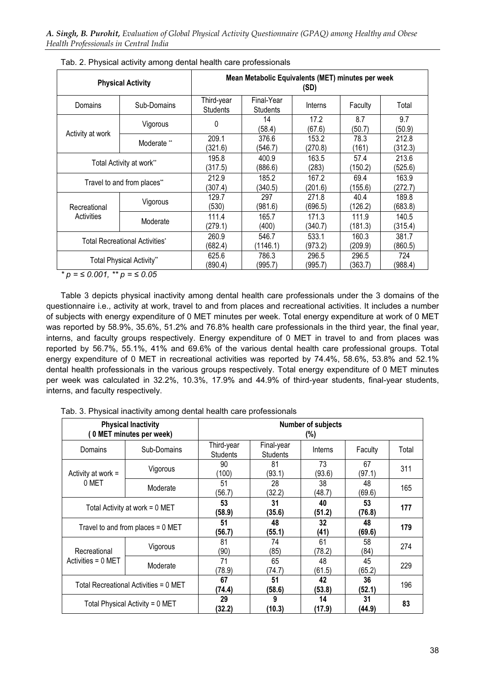| <b>Physical Activity</b>       |                        | Mean Metabolic Equivalents (MET) minutes per week<br>(SD) |                               |                  |                  |                  |  |
|--------------------------------|------------------------|-----------------------------------------------------------|-------------------------------|------------------|------------------|------------------|--|
| Domains                        | Sub-Domains            | Third-year<br><b>Students</b>                             | Final-Year<br><b>Students</b> | Interns          | Faculty          | Total            |  |
|                                | Vigorous               | 0                                                         | 14<br>(58.4)                  | 17.2<br>(67.6)   | 8.7<br>(50.7)    | 9.7<br>(50.9)    |  |
| Activity at work               | Moderate <sup>**</sup> | 209.1<br>(321.6)                                          | 376.6<br>(546.7)              | 153.2<br>(270.8) | 78.3<br>(161)    | 212.8<br>(312.3) |  |
| Total Activity at work**       |                        | 195.8<br>(317.5)                                          | 400.9<br>(886.6)              | 163.5<br>(283)   | 57.4<br>(150.2)  | 213.6<br>(525.6) |  |
| Travel to and from places**    |                        | 212.9<br>(307.4)                                          | 185.2<br>(340.5)              | 167.2<br>(201.6) | 69.4<br>(155.6)  | 163.9<br>(272.7) |  |
| Recreational                   | Vigorous               | 129.7<br>(530)                                            | 297<br>(981.6)                | 271.8<br>(696.5) | 40.4<br>(126.2)  | 189.8<br>(683.8) |  |
| Activities                     | Moderate               | 111.4<br>(279.1)                                          | 165.7<br>(400)                | 171.3<br>(340.7) | 111.9<br>(181.3) | 140.5<br>(315.4) |  |
| Total Recreational Activities* |                        | 260.9<br>(682.4)                                          | 546.7<br>(1146.1)             | 533.1<br>(973.2) | 160.3<br>(209.9) | 381.7<br>(860.5) |  |
| Total Physical Activity**      |                        | 625.6<br>(890.4)                                          | 786.3<br>(995.7)              | 296.5<br>(995.7) | 296.5<br>(363.7) | 724<br>(988.4)   |  |

Tab. 2. Physical activity among dental health care professionals

\*  $p = \leq 0.001$ , \*\*  $p = \leq 0.05$ 

Table 3 depicts physical inactivity among dental health care professionals under the 3 domains of the questionnaire i.e., activity at work, travel to and from places and recreational activities. It includes a number of subjects with energy expenditure of 0 MET minutes per week. Total energy expenditure at work of 0 MET was reported by 58.9%, 35.6%, 51.2% and 76.8% health care professionals in the third year, the final year, interns, and faculty groups respectively. Energy expenditure of 0 MET in travel to and from places was reported by 56.7%, 55.1%, 41% and 69.6% of the various dental health care professional groups. Total energy expenditure of 0 MET in recreational activities was reported by 74.4%, 58.6%, 53.8% and 52.1% dental health professionals in the various groups respectively. Total energy expenditure of 0 MET minutes per week was calculated in 32.2%, 10.3%, 17.9% and 44.9% of third-year students, final-year students, interns, and faculty respectively.

|                                       | <b>Physical Inactivity</b><br>(0 MET minutes per week) |                               |                               | <b>Number of subjects</b><br>(%) |              |       |
|---------------------------------------|--------------------------------------------------------|-------------------------------|-------------------------------|----------------------------------|--------------|-------|
| Domains                               | Sub-Domains                                            | Third-year<br><b>Students</b> | Final-year<br><b>Students</b> | Interns                          | Faculty      | Total |
| Activity at work =                    | Vigorous                                               | 90<br>(100                    | 81<br>(93.1)                  | 73<br>(93.6)                     | 67<br>(97.1) | 311   |
| 0 MET                                 | Moderate                                               | 51<br>(56.7)                  | 28<br>(32.2)                  | 38<br>(48.7)                     | 48<br>(69.6) | 165   |
| Total Activity at work = 0 MET        |                                                        | 53<br>(58.9)                  | 31<br>(35.6)                  | 40<br>(51.2)                     | 53<br>(76.8) | 177   |
|                                       | Travel to and from places $= 0$ MET                    | 51<br>(56.7)                  | 48<br>(55.1)                  | 32<br>(41)                       | 48<br>(69.6) | 179   |
| Recreational                          | Vigorous                                               | 81<br>(90)                    | 74<br>(85)                    | 61<br>(78.2)                     | 58<br>(84)   | 274   |
| Activities = $0$ MET                  | Moderate                                               | 71<br>(78.9)                  | 65<br>(74.7)                  | 48<br>(61.5)                     | 45<br>(65.2) | 229   |
| Total Recreational Activities = 0 MET |                                                        | 67<br>(74.4)                  | 51<br>(58.6)                  | 42<br>(53.8)                     | 36<br>(52.1) | 196   |
| Total Physical Activity = 0 MET       |                                                        | 29<br>(32.2)                  | 9<br>(10.3)                   | 14<br>(17.9)                     | 31<br>(44.9) | 83    |

Tab. 3. Physical inactivity among dental health care professionals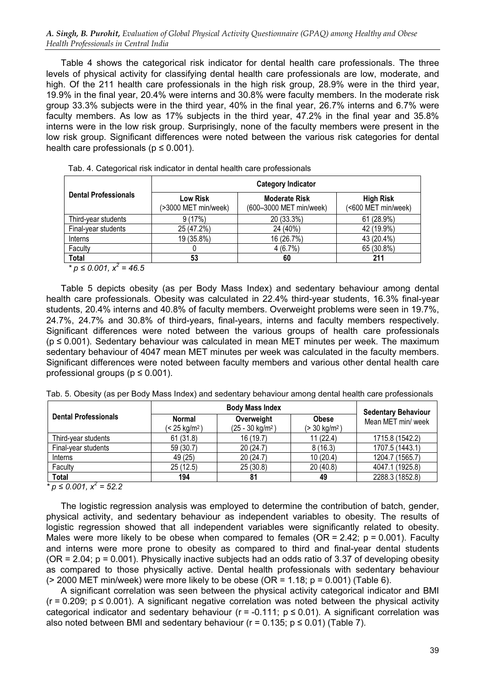Table 4 shows the categorical risk indicator for dental health care professionals. The three levels of physical activity for classifying dental health care professionals are low, moderate, and high. Of the 211 health care professionals in the high risk group, 28.9% were in the third year, 19.9% in the final year, 20.4% were interns and 30.8% were faculty members. In the moderate risk group 33.3% subjects were in the third year, 40% in the final year, 26.7% interns and 6.7% were faculty members. As low as 17% subjects in the third year, 47.2% in the final year and 35.8% interns were in the low risk group. Surprisingly, none of the faculty members were present in the low risk group. Significant differences were noted between the various risk categories for dental health care professionals ( $p \le 0.001$ ).

|                                | <b>Category Indicator</b>        |                                                 |                                         |  |  |  |  |
|--------------------------------|----------------------------------|-------------------------------------------------|-----------------------------------------|--|--|--|--|
| <b>Dental Professionals</b>    | Low Risk<br>(>3000 MET min/week) | <b>Moderate Risk</b><br>(600-3000 MET min/week) | <b>High Risk</b><br>(<600 MET min/week) |  |  |  |  |
| Third-year students            | 9(17%)                           | 20 (33.3%)                                      | 61 (28.9%)                              |  |  |  |  |
| Final-year students            | 25 (47.2%)                       | 24 (40%)                                        | 42 (19.9%)                              |  |  |  |  |
| Interns                        | 19 (35.8%)                       | 16 (26.7%)                                      | 43 (20.4%)                              |  |  |  |  |
| Faculty                        |                                  | 4(6.7%)                                         | 65 (30.8%)                              |  |  |  |  |
| Total                          | 53                               | 60                                              | 211                                     |  |  |  |  |
| * $p \le 0.001$ , $x^2 = 46.5$ |                                  |                                                 |                                         |  |  |  |  |

Tab. 4. Categorical risk indicator in dental health care professionals

Table 5 depicts obesity (as per Body Mass Index) and sedentary behaviour among dental health care professionals. Obesity was calculated in 22.4% third-year students, 16.3% final-year students, 20.4% interns and 40.8% of faculty members. Overweight problems were seen in 19.7%, 24.7%, 24.7% and 30.8% of third-years, final-years, interns and faculty members respectively. Significant differences were noted between the various groups of health care professionals  $(p \le 0.001)$ . Sedentary behaviour was calculated in mean MET minutes per week. The maximum sedentary behaviour of 4047 mean MET minutes per week was calculated in the faculty members. Significant differences were noted between faculty members and various other dental health care professional groups ( $p \le 0.001$ ).

|  |  |  |  |  |  |  | Tab. 5. Obesity (as per Body Mass Index) and sedentary behaviour among dental health care professionals |  |
|--|--|--|--|--|--|--|---------------------------------------------------------------------------------------------------------|--|
|  |  |  |  |  |  |  |                                                                                                         |  |

|                             |                                     | <b>Sedentary Behaviour</b>               |                                         |                    |
|-----------------------------|-------------------------------------|------------------------------------------|-----------------------------------------|--------------------|
| <b>Dental Professionals</b> | Normal<br>(< 25 kg/m <sup>2</sup> ) | Overweight<br>$(25 - 30 \text{ kg/m}^2)$ | <b>Obese</b><br>$(> 30 \text{ kg/m}^2)$ | Mean MET min/ week |
| Third-year students         | 61(31.8)                            | 16(19.7)                                 | 11(22.4)                                | 1715.8 (1542.2)    |
| Final-year students         | 59 (30.7)                           | 20(24.7)                                 | 8(16.3)                                 | 1707.5 (1443.1)    |
| Interns                     | 49 (25)                             | 20(24.7)                                 | 10(20.4)                                | 1204.7 (1565.7)    |
| Faculty                     | 25(12.5)                            | 25(30.8)                                 | 20(40.8)                                | 4047.1 (1925.8)    |
| <b>Total</b>                | 194                                 | 81                                       | 49                                      | 2288.3 (1852.8)    |

\*  $p \le 0.001$ ,  $x^2 = 52.2$ 

The logistic regression analysis was employed to determine the contribution of batch, gender, physical activity, and sedentary behaviour as independent variables to obesity. The results of logistic regression showed that all independent variables were significantly related to obesity. Males were more likely to be obese when compared to females ( $OR = 2.42$ ;  $p = 0.001$ ). Faculty and interns were more prone to obesity as compared to third and final-year dental students  $(OR = 2.04; p = 0.001)$ . Physically inactive subjects had an odds ratio of 3.37 of developing obesity as compared to those physically active. Dental health professionals with sedentary behaviour  $(> 2000$  MET min/week) were more likely to be obese (OR = 1.18;  $p = 0.001$ ) (Table 6).

A significant correlation was seen between the physical activity categorical indicator and BMI  $(r = 0.209; p \le 0.001)$ . A significant negative correlation was noted between the physical activity categorical indicator and sedentary behaviour ( $r = -0.111$ ;  $p \le 0.01$ ). A significant correlation was also noted between BMI and sedentary behaviour ( $r = 0.135$ ;  $p \le 0.01$ ) (Table 7).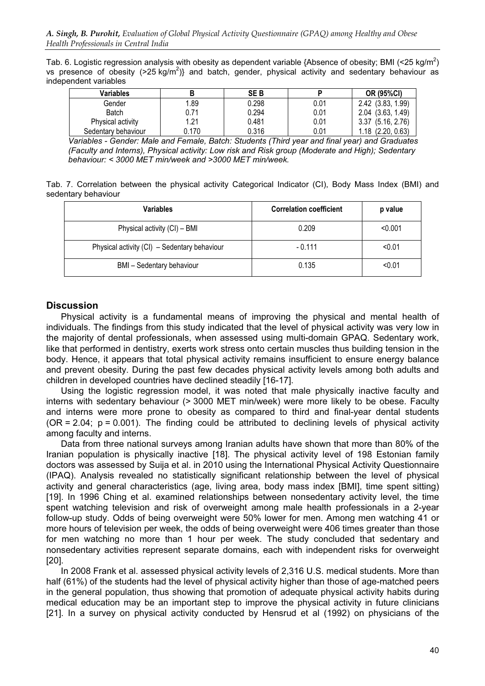Tab. 6. Logistic regression analysis with obesity as dependent variable {Absence of obesity; BMI (<25 kg/m<sup>2</sup>) vs presence of obesity  $($ >25 kg/m<sup>2</sup> $)$ } and batch, gender, physical activity and sedentary behaviour as independent variables

| Variables           |       | <b>SEB</b> |      | <b>OR (95%CI)</b>     |
|---------------------|-------|------------|------|-----------------------|
| Gender              | 1.89  | 0.298      | 0.01 | 2.42 (3.83, 1.99)     |
| <b>Batch</b>        | 0.71  | 0.294      | 0.01 | $2.04$ $(3.63, 1.49)$ |
| Physical activity   | 1.21  | 0.481      | 0.01 | 3.37(5.16, 2.76)      |
| Sedentary behaviour | 0.170 | 0.316      | 0.01 | $1.18$ $(2.20, 0.63)$ |

Variables - Gender: Male and Female, Batch: Students (Third year and final year) and Graduates (Faculty and Interns), Physical activity: Low risk and Risk group (Moderate and High); Sedentary behaviour: < 3000 MET min/week and >3000 MET min/week.

Tab. 7. Correlation between the physical activity Categorical Indicator (CI), Body Mass Index (BMI) and sedentary behaviour

| <b>Variables</b>                             | <b>Correlation coefficient</b> | p value |
|----------------------------------------------|--------------------------------|---------|
| Physical activity (CI) - BMI                 | 0.209                          | < 0.001 |
| Physical activity (CI) - Sedentary behaviour | $-0.111$                       | < 0.01  |
| <b>BMI</b> - Sedentary behaviour             | 0.135                          | < 0.01  |

# **Discussion**

Physical activity is a fundamental means of improving the physical and mental health of individuals. The findings from this study indicated that the level of physical activity was very low in the majority of dental professionals, when assessed using multi-domain GPAQ. Sedentary work, like that performed in dentistry, exerts work stress onto certain muscles thus building tension in the body. Hence, it appears that total physical activity remains insufficient to ensure energy balance and prevent obesity. During the past few decades physical activity levels among both adults and children in developed countries have declined steadily [16-17].

Using the logistic regression model, it was noted that male physically inactive faculty and interns with sedentary behaviour (> 3000 MET min/week) were more likely to be obese. Faculty and interns were more prone to obesity as compared to third and final-year dental students  $(OR = 2.04; p = 0.001)$ . The finding could be attributed to declining levels of physical activity among faculty and interns.

Data from three national surveys among Iranian adults have shown that more than 80% of the Iranian population is physically inactive [18]. The physical activity level of 198 Estonian family doctors was assessed by Suija et al. in 2010 using the International Physical Activity Questionnaire (IPAQ). Analysis revealed no statistically significant relationship between the level of physical activity and general characteristics (age, living area, body mass index [BMI], time spent sitting) [19]. In 1996 Ching et al. examined relationships between nonsedentary activity level, the time spent watching television and risk of overweight among male health professionals in a 2-year follow-up study. Odds of being overweight were 50% lower for men. Among men watching 41 or more hours of television per week, the odds of being overweight were 406 times greater than those for men watching no more than 1 hour per week. The study concluded that sedentary and nonsedentary activities represent separate domains, each with independent risks for overweight [20].

In 2008 Frank et al. assessed physical activity levels of 2,316 U.S. medical students. More than half (61%) of the students had the level of physical activity higher than those of age-matched peers in the general population, thus showing that promotion of adequate physical activity habits during medical education may be an important step to improve the physical activity in future clinicians [21]. In a survey on physical activity conducted by Hensrud et al (1992) on physicians of the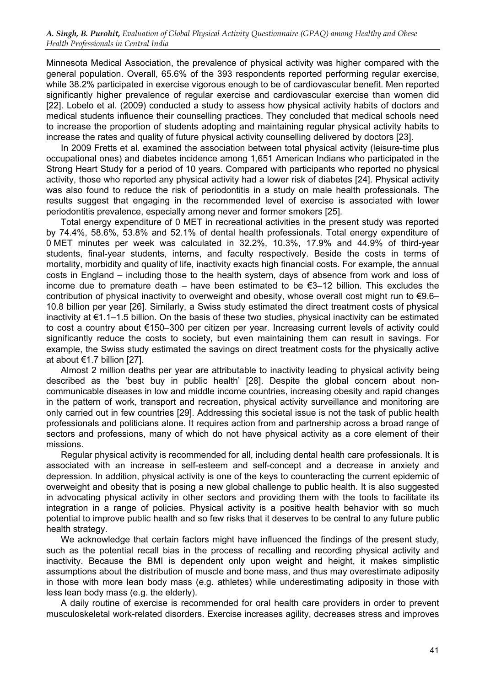Minnesota Medical Association, the prevalence of physical activity was higher compared with the general population. Overall, 65.6% of the 393 respondents reported performing regular exercise, while 38.2% participated in exercise vigorous enough to be of cardiovascular benefit. Men reported significantly higher prevalence of regular exercise and cardiovascular exercise than women did [22]. Lobelo et al. (2009) conducted a study to assess how physical activity habits of doctors and medical students influence their counselling practices. They concluded that medical schools need to increase the proportion of students adopting and maintaining regular physical activity habits to increase the rates and quality of future physical activity counselling delivered by doctors [23].

In 2009 Fretts et al. examined the association between total physical activity (leisure-time plus occupational ones) and diabetes incidence among 1,651 American Indians who participated in the Strong Heart Study for a period of 10 years. Compared with participants who reported no physical activity, those who reported any physical activity had a lower risk of diabetes [24]. Physical activity was also found to reduce the risk of periodontitis in a study on male health professionals. The results suggest that engaging in the recommended level of exercise is associated with lower periodontitis prevalence, especially among never and former smokers [25].

Total energy expenditure of 0 MET in recreational activities in the present study was reported by 74.4%, 58.6%, 53.8% and 52.1% of dental health professionals. Total energy expenditure of 0 MET minutes per week was calculated in 32.2%, 10.3%, 17.9% and 44.9% of third-year students, final-year students, interns, and faculty respectively. Beside the costs in terms of mortality, morbidity and quality of life, inactivity exacts high financial costs. For example, the annual costs in England – including those to the health system, days of absence from work and loss of income due to premature death – have been estimated to be €3–12 billion. This excludes the contribution of physical inactivity to overweight and obesity, whose overall cost might run to €9.6– 10.8 billion per year [26]. Similarly, a Swiss study estimated the direct treatment costs of physical inactivity at €1.1–1.5 billion. On the basis of these two studies, physical inactivity can be estimated to cost a country about €150–300 per citizen per year. Increasing current levels of activity could significantly reduce the costs to society, but even maintaining them can result in savings. For example, the Swiss study estimated the savings on direct treatment costs for the physically active at about €1.7 billion [27].

Almost 2 million deaths per year are attributable to inactivity leading to physical activity being described as the 'best buy in public health' [28]. Despite the global concern about noncommunicable diseases in low and middle income countries, increasing obesity and rapid changes in the pattern of work, transport and recreation, physical activity surveillance and monitoring are only carried out in few countries [29]. Addressing this societal issue is not the task of public health professionals and politicians alone. It requires action from and partnership across a broad range of sectors and professions, many of which do not have physical activity as a core element of their missions.

Regular physical activity is recommended for all, including dental health care professionals. It is associated with an increase in self-esteem and self-concept and a decrease in anxiety and depression. In addition, physical activity is one of the keys to counteracting the current epidemic of overweight and obesity that is posing a new global challenge to public health. It is also suggested in advocating physical activity in other sectors and providing them with the tools to facilitate its integration in a range of policies. Physical activity is a positive health behavior with so much potential to improve public health and so few risks that it deserves to be central to any future public health strategy.

We acknowledge that certain factors might have influenced the findings of the present study, such as the potential recall bias in the process of recalling and recording physical activity and inactivity. Because the BMI is dependent only upon weight and height, it makes simplistic assumptions about the distribution of muscle and bone mass, and thus may overestimate adiposity in those with more lean body mass (e.g. athletes) while underestimating adiposity in those with less lean body mass (e.g. the elderly).

A daily routine of exercise is recommended for oral health care providers in order to prevent musculoskeletal work-related disorders. Exercise increases agility, decreases stress and improves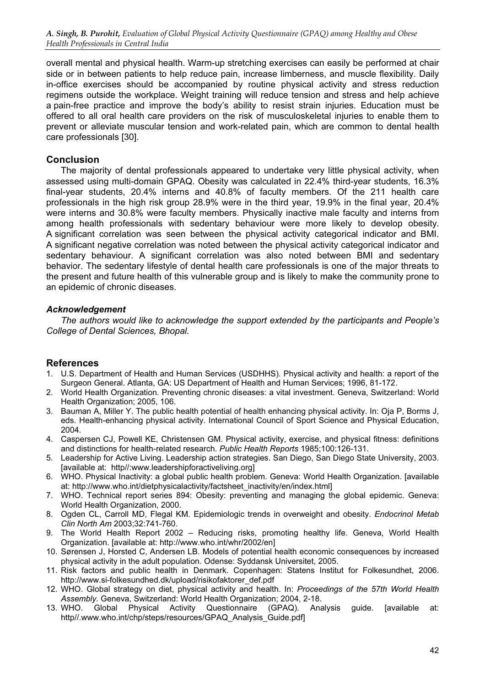overall mental and physical health. Warm-up stretching exercises can easily be performed at chair side or in between patients to help reduce pain, increase limberness, and muscle flexibility. Daily in-office exercises should be accompanied by routine physical activity and stress reduction regimens outside the workplace. Weight training will reduce tension and stress and help achieve a pain-free practice and improve the body's ability to resist strain injuries. Education must be offered to all oral health care providers on the risk of musculoskeletal injuries to enable them to prevent or alleviate muscular tension and work-related pain, which are common to dental health care professionals [30].

# Conclusion

The majority of dental professionals appeared to undertake very little physical activity, when assessed using multi-domain GPAQ. Obesity was calculated in 22.4% third-year students, 16.3% final-year students, 20.4% interns and 40.8% of faculty members. Of the 211 health care professionals in the high risk group 28.9% were in the third year, 19.9% in the final year, 20.4% were interns and 30.8% were faculty members. Physically inactive male faculty and interns from among health professionals with sedentary behaviour were more likely to develop obesity. A significant correlation was seen between the physical activity categorical indicator and BMI. A significant negative correlation was noted between the physical activity categorical indicator and sedentary behaviour. A significant correlation was also noted between BMI and sedentary behavior. The sedentary lifestyle of dental health care professionals is one of the major threats to the present and future health of this vulnerable group and is likely to make the community prone to an epidemic of chronic diseases.

# Acknowledgement

The authors would like to acknowledge the support extended by the participants and People's College of Dental Sciences, Bhopal.

# References

- 1. U.S. Department of Health and Human Services (USDHHS). Physical activity and health: a report of the Surgeon General. Atlanta, GA: US Department of Health and Human Services; 1996, 81-172.
- 2. World Health Organization. Preventing chronic diseases: a vital investment. Geneva, Switzerland: World Health Organization; 2005, 106.
- 3. Bauman A, Miller Y. The public health potential of health enhancing physical activity. In: Oja P, Borms J, eds. Health-enhancing physical activity. International Council of Sport Science and Physical Education, 2004.
- 4. Caspersen CJ, Powell KE, Christensen GM. Physical activity, exercise, and physical fitness: definitions and distinctions for health-related research. Public Health Reports 1985;100:126-131.
- 5. Leadership for Active Living. Leadership action strategies. San Diego, San Diego State University, 2003. [available at: http//:www.leadershipforactiveliving.org]
- 6. WHO. Physical Inactivity: a global public health problem. Geneva: World Health Organization. [available at: http://www.who.int/dietphysicalactivity/factsheet\_inactivity/en/index.html]
- 7. WHO. Technical report series 894: Obesity: preventing and managing the global epidemic. Geneva: World Health Organization, 2000.
- 8. Ogden CL, Carroll MD, Flegal KM. Epidemiologic trends in overweight and obesity. Endocrinol Metab Clin North Am 2003;32:741-760.
- 9. The World Health Report 2002 Reducing risks, promoting healthy life. Geneva, World Health Organization. [available at: http://www.who.int/whr/2002/en]
- 10. Sørensen J, Horsted C, Andersen LB. Models of potential health economic consequences by increased physical activity in the adult population. Odense: Syddansk Universitet, 2005.
- 11. Risk factors and public health in Denmark. Copenhagen: Statens Institut for Folkesundhet, 2006. http://www.si-folkesundhed.dk/upload/risikofaktorer\_def.pdf
- 12. WHO. Global strategy on diet, physical activity and health. In: Proceedings of the 57th World Health Assembly. Geneva, Switzerland: World Health Organization; 2004, 2-18.
- Global Physical Activity Questionnaire (GPAQ). Analysis quide. [available at: http//.www.who.int/chp/steps/resources/GPAQ\_Analysis\_Guide.pdfl